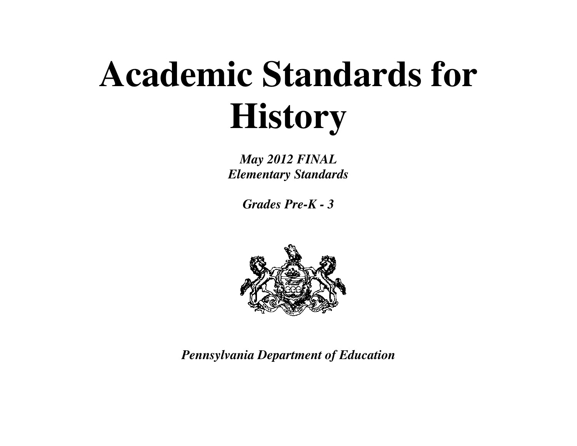# **Academic Standards for History**

*May 2012 FINAL Elementary Standards* 

*Grades Pre-K - 3* 



*Pennsylvania Department of Education*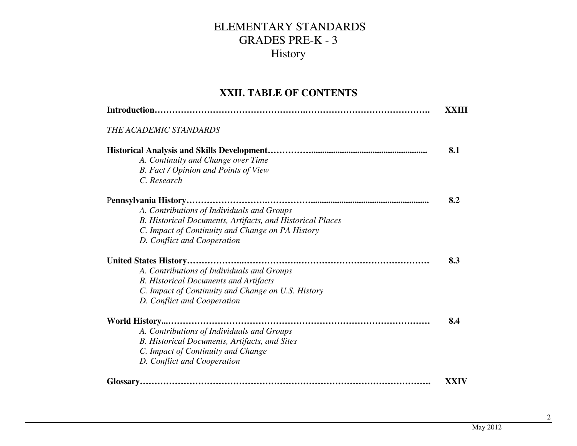#### **XXII. TABLE OF CONTENTS**

| Introduction                                              | XXIII |
|-----------------------------------------------------------|-------|
| THE ACADEMIC STANDARDS                                    |       |
|                                                           | 8.1   |
| A. Continuity and Change over Time                        |       |
| B. Fact / Opinion and Points of View                      |       |
| C. Research                                               |       |
|                                                           | 8.2   |
| A. Contributions of Individuals and Groups                |       |
| B. Historical Documents, Artifacts, and Historical Places |       |
| C. Impact of Continuity and Change on PA History          |       |
| D. Conflict and Cooperation                               |       |
|                                                           | 8.3   |
| A. Contributions of Individuals and Groups                |       |
| <b>B.</b> Historical Documents and Artifacts              |       |
| C. Impact of Continuity and Change on U.S. History        |       |
| D. Conflict and Cooperation                               |       |
|                                                           | 8.4   |
| A. Contributions of Individuals and Groups                |       |
| B. Historical Documents, Artifacts, and Sites             |       |
| C. Impact of Continuity and Change                        |       |
| D. Conflict and Cooperation                               |       |
|                                                           | XXIV  |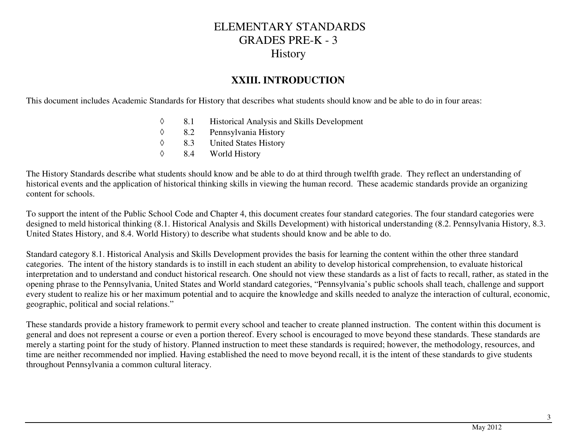#### **XXIII. INTRODUCTION**

This document includes Academic Standards for History that describes what students should know and be able to do in four areas:

- ◊8.1 Historical Analysis and Skills Development<br>8.2 Pennsylvania History
- ◊Pennsylvania History
- ◊8.3 United States History<br>8.4 World History
- ◊World History

The History Standards describe what students should know and be able to do at third through twelfth grade. They reflect an understanding of historical events and the application of historical thinking skills in viewing the human record. These academic standards provide an organizing content for schools.

To support the intent of the Public School Code and Chapter 4, this document creates four standard categories. The four standard categories were designed to meld historical thinking (8.1. Historical Analysis and Skills Development) with historical understanding (8.2. Pennsylvania History, 8.3. United States History, and 8.4. World History) to describe what students should know and be able to do.

Standard category 8.1. Historical Analysis and Skills Development provides the basis for learning the content within the other three standard categories. The intent of the history standards is to instill in each student an ability to develop historical comprehension, to evaluate historical interpretation and to understand and conduct historical research. One should not view these standards as a list of facts to recall, rather, as stated in the opening phrase to the Pennsylvania, United States and World standard categories, "Pennsylvania's public schools shall teach, challenge and support every student to realize his or her maximum potential and to acquire the knowledge and skills needed to analyze the interaction of cultural, economic, geographic, political and social relations."

These standards provide a history framework to permit every school and teacher to create planned instruction. The content within this document is general and does not represent a course or even a portion thereof. Every school is encouraged to move beyond these standards. These standards are merely a starting point for the study of history. Planned instruction to meet these standards is required; however, the methodology, resources, and time are neither recommended nor implied. Having established the need to move beyond recall, it is the intent of these standards to give students throughout Pennsylvania a common cultural literacy.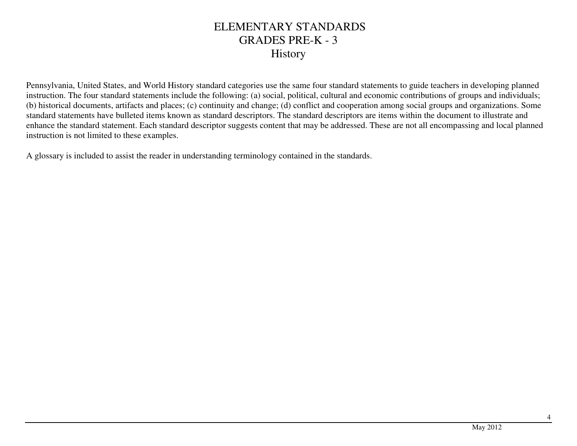Pennsylvania, United States, and World History standard categories use the same four standard statements to guide teachers in developing planned instruction. The four standard statements include the following: (a) social, political, cultural and economic contributions of groups and individuals; (b) historical documents, artifacts and places; (c) continuity and change; (d) conflict and cooperation among social groups and organizations. Some standard statements have bulleted items known as standard descriptors. The standard descriptors are items within the document to illustrate and enhance the standard statement. Each standard descriptor suggests content that may be addressed. These are not all encompassing and local planned instruction is not limited to these examples.

A glossary is included to assist the reader in understanding terminology contained in the standards.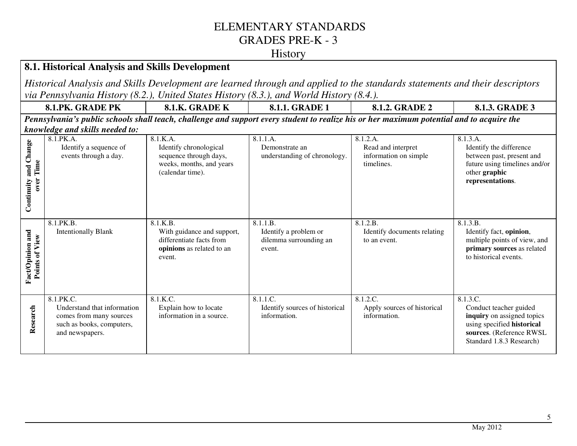#### **History**

#### **8.1. Historical Analysis and Skills Development**

*Historical Analysis and Skills Development are learned through and applied to the standards statements and their descriptors via Pennsylvania History (8.2.), United States History (8.3.), and World History (8.4.).*

| <b>GRADE PK</b><br>8.1.PK. | <b>GRADE K</b><br>0.1.N. | <b>GRADE 1</b><br>0.1.1. | <b>GRADE 2</b><br>0.1.2. | ADE 3<br>. <i>.</i><br>0.1.5. |
|----------------------------|--------------------------|--------------------------|--------------------------|-------------------------------|
|                            |                          |                          |                          |                               |

*Pennsylvania's public schools shall teach, challenge and support every student to realize his or her maximum potential and to acquire the knowledge and skills needed to:*

| and Change<br>Time<br>over<br>Continuity     | o<br>8.1.PK.A.<br>Identify a sequence of<br>events through a day.                                                   | 8.1.K.A.<br>Identify chronological<br>sequence through days,<br>weeks, months, and years<br>(calendar time). | 8.1.1.A.<br>Demonstrate an<br>understanding of chronology.            | 8.1.2.A.<br>Read and interpret<br>information on simple<br>timelines. | 8.1.3.A.<br>Identify the difference<br>between past, present and<br>future using timelines and/or<br>other graphic<br>representations.                 |
|----------------------------------------------|---------------------------------------------------------------------------------------------------------------------|--------------------------------------------------------------------------------------------------------------|-----------------------------------------------------------------------|-----------------------------------------------------------------------|--------------------------------------------------------------------------------------------------------------------------------------------------------|
| and<br><b>Points of View</b><br>Fact/Opinion | 8.1.PK.B.<br><b>Intentionally Blank</b>                                                                             | 8.1.K.B.<br>With guidance and support,<br>differentiate facts from<br>opinions as related to an<br>event.    | 8.1.1.B.<br>Identify a problem or<br>dilemma surrounding an<br>event. | 8.1.2.B.<br>Identify documents relating<br>to an event.               | 8.1.3.B.<br>Identify fact, opinion,<br>multiple points of view, and<br>primary sources as related<br>to historical events.                             |
| Research                                     | 8.1.PK.C.<br>Understand that information<br>comes from many sources<br>such as books, computers,<br>and newspapers. | 8.1.K.C.<br>Explain how to locate<br>information in a source.                                                | 8.1.1.C.<br>Identify sources of historical<br>information.            | 8.1.2.C.<br>Apply sources of historical<br>information.               | 8.1.3.C.<br>Conduct teacher guided<br>inquiry on assigned topics<br>using specified historical<br>sources. (Reference RWSL<br>Standard 1.8.3 Research) |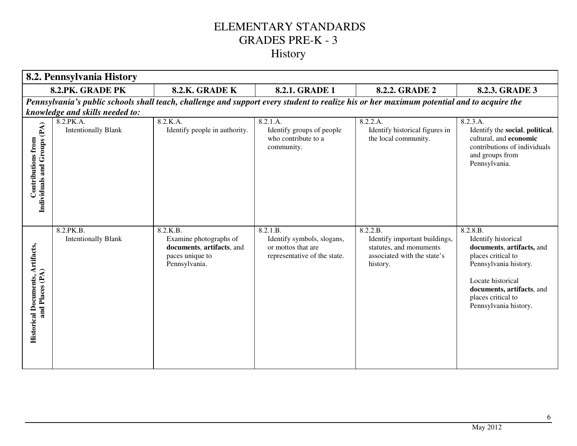| 8.2. Pennsylvania History                                   |                                         |                                                                                                     |                                                                                              |                                                                                                                                           |                                                                                                                                                                                                              |
|-------------------------------------------------------------|-----------------------------------------|-----------------------------------------------------------------------------------------------------|----------------------------------------------------------------------------------------------|-------------------------------------------------------------------------------------------------------------------------------------------|--------------------------------------------------------------------------------------------------------------------------------------------------------------------------------------------------------------|
|                                                             | 8.2.PK. GRADE PK                        | 8.2.K. GRADE K                                                                                      | 8.2.1. GRADE 1                                                                               | 8.2.2. GRADE 2                                                                                                                            | 8.2.3. GRADE 3                                                                                                                                                                                               |
|                                                             |                                         |                                                                                                     |                                                                                              | Pennsylvania's public schools shall teach, challenge and support every student to realize his or her maximum potential and to acquire the |                                                                                                                                                                                                              |
|                                                             | knowledge and skills needed to:         |                                                                                                     |                                                                                              |                                                                                                                                           |                                                                                                                                                                                                              |
| Contributions from<br>Individuals and Groups (PA)           | 8.2.PK.A.<br><b>Intentionally Blank</b> | 8.2.K.A.<br>Identify people in authority.                                                           | 8.2.1.A.<br>Identify groups of people<br>who contribute to a<br>community.                   | 8.2.2.A.<br>Identify historical figures in<br>the local community.                                                                        | 8.2.3.A.<br>Identify the social, political,<br>cultural, and economic<br>contributions of individuals<br>and groups from<br>Pennsylvania.                                                                    |
| <b>Historical Documents, Artifacts,<br/>and Places (PA)</b> | 8.2.PK.B.<br><b>Intentionally Blank</b> | 8.2.K.B.<br>Examine photographs of<br>documents, artifacts, and<br>paces unique to<br>Pennsylvania. | 8.2.1.B.<br>Identify symbols, slogans,<br>or mottos that are<br>representative of the state. | 8.2.2.B.<br>Identify important buildings,<br>statutes, and monuments<br>associated with the state's<br>history.                           | 8.2.8.B.<br>Identify historical<br>documents, artifacts, and<br>places critical to<br>Pennsylvania history.<br>Locate historical<br>documents, artifacts, and<br>places critical to<br>Pennsylvania history. |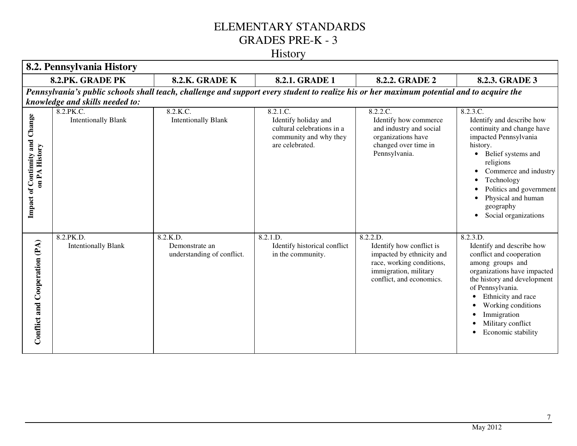#### History

|                                                  | 8.2. Pennsylvania History               |                                                                                                                                           |                                                                                                             |                                                                                                                                                     |                                                                                                                                                                                                                                                                                         |
|--------------------------------------------------|-----------------------------------------|-------------------------------------------------------------------------------------------------------------------------------------------|-------------------------------------------------------------------------------------------------------------|-----------------------------------------------------------------------------------------------------------------------------------------------------|-----------------------------------------------------------------------------------------------------------------------------------------------------------------------------------------------------------------------------------------------------------------------------------------|
|                                                  | 8.2.PK. GRADE PK                        | 8.2.K. GRADE K                                                                                                                            | 8.2.1. GRADE 1                                                                                              | <b>8.2.2. GRADE 2</b>                                                                                                                               | 8.2.3. GRADE 3                                                                                                                                                                                                                                                                          |
|                                                  | knowledge and skills needed to:         | Pennsylvania's public schools shall teach, challenge and support every student to realize his or her maximum potential and to acquire the |                                                                                                             |                                                                                                                                                     |                                                                                                                                                                                                                                                                                         |
| Impact of Continnity and Change<br>on PA History | 8.2.PK.C.<br><b>Intentionally Blank</b> | 8.2.K.C.<br><b>Intentionally Blank</b>                                                                                                    | 8.2.1.C.<br>Identify holiday and<br>cultural celebrations in a<br>community and why they<br>are celebrated. | 8.2.2.C.<br>Identify how commerce<br>and industry and social<br>organizations have<br>changed over time in<br>Pennsylvania.                         | 8.2.3.C.<br>Identify and describe how<br>continuity and change have<br>impacted Pennsylvania<br>history.<br>• Belief systems and<br>religions<br>Commerce and industry<br>Technology<br>Politics and government<br>Physical and human<br>geography<br>Social organizations<br>$\bullet$ |
| Conflict and Cooperation (PA)                    | 8.2.PK.D.<br><b>Intentionally Blank</b> | 8.2.K.D.<br>Demonstrate an<br>understanding of conflict.                                                                                  | 8.2.1.D.<br>Identify historical conflict<br>in the community.                                               | 8.2.2.D.<br>Identify how conflict is<br>impacted by ethnicity and<br>race, working conditions,<br>immigration, military<br>conflict, and economics. | 8.2.3.D.<br>Identify and describe how<br>conflict and cooperation<br>among groups and<br>organizations have impacted<br>the history and development<br>of Pennsylvania.<br>Ethnicity and race<br>Working conditions<br>Immigration<br>Military conflict<br>Economic stability           |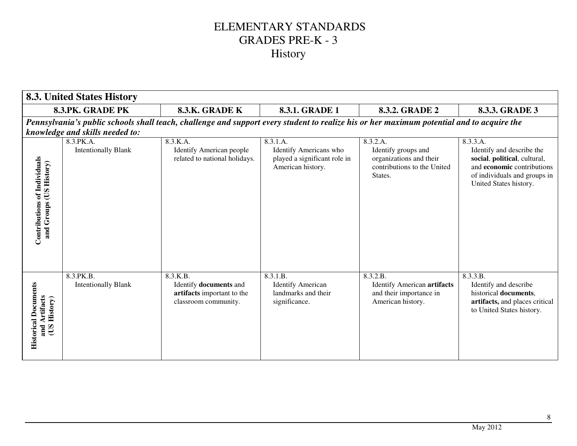|                                                              | <b>8.3. United States History</b>       |                                                                                                                                           |                                                                                         |                                                                                                      |                                                                                                                                                                      |
|--------------------------------------------------------------|-----------------------------------------|-------------------------------------------------------------------------------------------------------------------------------------------|-----------------------------------------------------------------------------------------|------------------------------------------------------------------------------------------------------|----------------------------------------------------------------------------------------------------------------------------------------------------------------------|
|                                                              | 8.3.PK. GRADE PK                        | 8.3.K. GRADE K                                                                                                                            | <b>8.3.1. GRADE 1</b>                                                                   | <b>8.3.2. GRADE 2</b>                                                                                | 8.3.3. GRADE 3                                                                                                                                                       |
|                                                              |                                         | Pennsylvania's public schools shall teach, challenge and support every student to realize his or her maximum potential and to acquire the |                                                                                         |                                                                                                      |                                                                                                                                                                      |
|                                                              | knowledge and skills needed to:         |                                                                                                                                           |                                                                                         |                                                                                                      |                                                                                                                                                                      |
| Contributions of Individuals<br>and Groups (US History)      | 8.3.PK.A.<br><b>Intentionally Blank</b> | 8.3.K.A.<br><b>Identify American people</b><br>related to national holidays.                                                              | 8.3.1.A.<br>Identify Americans who<br>played a significant role in<br>American history. | 8.3.2.A.<br>Identify groups and<br>organizations and their<br>contributions to the United<br>States. | 8.3.3.A.<br>Identify and describe the<br>social, political, cultural,<br>and <b>economic</b> contributions<br>of individuals and groups in<br>United States history. |
|                                                              |                                         |                                                                                                                                           |                                                                                         |                                                                                                      |                                                                                                                                                                      |
| <b>Historical Documents</b><br>and Artifacts<br>(US History) | 8.3.PK.B.<br><b>Intentionally Blank</b> | 8.3.K.B.<br>Identify documents and<br>artifacts important to the<br>classroom community.                                                  | 8.3.1.B.<br><b>Identify American</b><br>landmarks and their<br>significance.            | 8.3.2.B.<br><b>Identify American artifacts</b><br>and their importance in<br>American history.       | 8.3.3.B.<br>Identify and describe<br>historical documents,<br>artifacts, and places critical<br>to United States history.                                            |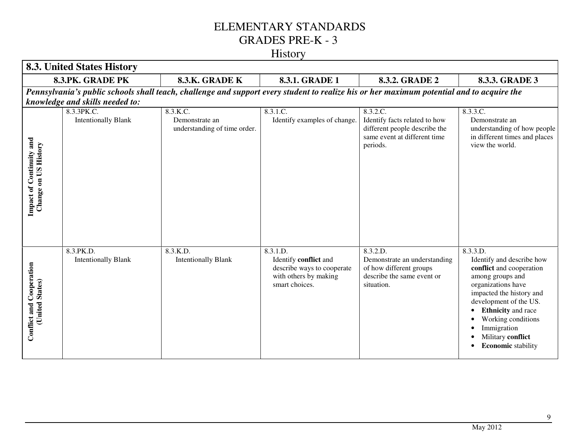# History

|                                                      | <b>8.3. United States History</b>        |                                                                                                                                           |                                                                                                            |                                                                                                                        |                                                                                                                                                                                                                                                                                       |
|------------------------------------------------------|------------------------------------------|-------------------------------------------------------------------------------------------------------------------------------------------|------------------------------------------------------------------------------------------------------------|------------------------------------------------------------------------------------------------------------------------|---------------------------------------------------------------------------------------------------------------------------------------------------------------------------------------------------------------------------------------------------------------------------------------|
|                                                      | 8.3.PK. GRADE PK                         | 8.3.K. GRADE K                                                                                                                            | 8.3.1. GRADE 1                                                                                             | 8.3.2. GRADE 2                                                                                                         | 8.3.3. GRADE 3                                                                                                                                                                                                                                                                        |
|                                                      | knowledge and skills needed to:          | Pennsylvania's public schools shall teach, challenge and support every student to realize his or her maximum potential and to acquire the |                                                                                                            |                                                                                                                        |                                                                                                                                                                                                                                                                                       |
| <b>Impact of Continuity and Change on US History</b> | 8.3.3PK.C.<br><b>Intentionally Blank</b> | 8.3.K.C.<br>Demonstrate an<br>understanding of time order.                                                                                | 8.3.1.C.<br>Identify examples of change.                                                                   | 8.3.2.C.<br>Identify facts related to how<br>different people describe the<br>same event at different time<br>periods. | 8.3.3.C.<br>Demonstrate an<br>understanding of how people<br>in different times and places<br>view the world.                                                                                                                                                                         |
| <b>Conflict and Cooperation</b><br>(United States)   | 8.3.PK.D.<br><b>Intentionally Blank</b>  | 8.3.K.D.<br><b>Intentionally Blank</b>                                                                                                    | 8.3.1.D.<br>Identify conflict and<br>describe ways to cooperate<br>with others by making<br>smart choices. | 8.3.2.D.<br>Demonstrate an understanding<br>of how different groups<br>describe the same event or<br>situation.        | 8.3.3.D.<br>Identify and describe how<br>conflict and cooperation<br>among groups and<br>organizations have<br>impacted the history and<br>development of the US.<br><b>Ethnicity</b> and race<br>Working conditions<br>Immigration<br>Military conflict<br><b>Economic</b> stability |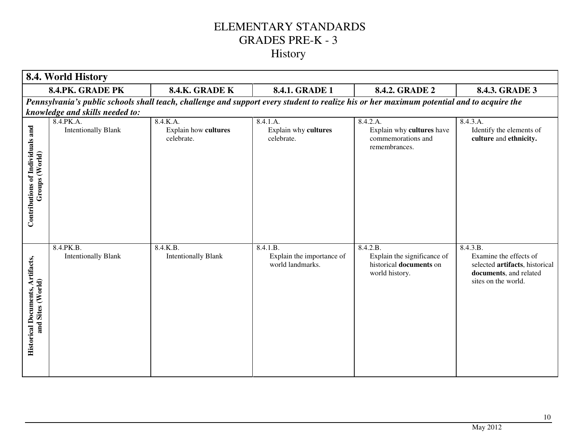|                                                              | 8.4. World History                      |                                                |                                                                                                                                           |                                                                                      |                                                                                                                       |
|--------------------------------------------------------------|-----------------------------------------|------------------------------------------------|-------------------------------------------------------------------------------------------------------------------------------------------|--------------------------------------------------------------------------------------|-----------------------------------------------------------------------------------------------------------------------|
|                                                              | 8.4.PK. GRADE PK                        | 8.4.K. GRADE K                                 | 8.4.1. GRADE 1                                                                                                                            | 8.4.2. GRADE 2                                                                       | 8.4.3. GRADE 3                                                                                                        |
|                                                              |                                         |                                                | Pennsylvania's public schools shall teach, challenge and support every student to realize his or her maximum potential and to acquire the |                                                                                      |                                                                                                                       |
|                                                              | knowledge and skills needed to:         |                                                |                                                                                                                                           |                                                                                      |                                                                                                                       |
| Contributions of Individuals and<br>Groups (World)           | 8.4.PK.A.<br><b>Intentionally Blank</b> | 8.4.K.A.<br>Explain how cultures<br>celebrate. | 8.4.1.A.<br>Explain why cultures<br>celebrate.                                                                                            | 8.4.2.A.<br>Explain why cultures have<br>commemorations and<br>remembrances.         | 8.4.3.A.<br>Identify the elements of<br>culture and ethnicity.                                                        |
| <b>Historical Documents, Artifacts,</b><br>and Sites (World) | 8.4.PK.B.<br><b>Intentionally Blank</b> | 8.4.K.B.<br><b>Intentionally Blank</b>         | 8.4.1.B.<br>Explain the importance of<br>world landmarks.                                                                                 | 8.4.2.B.<br>Explain the significance of<br>historical documents on<br>world history. | 8.4.3.B.<br>Examine the effects of<br>selected artifacts, historical<br>documents, and related<br>sites on the world. |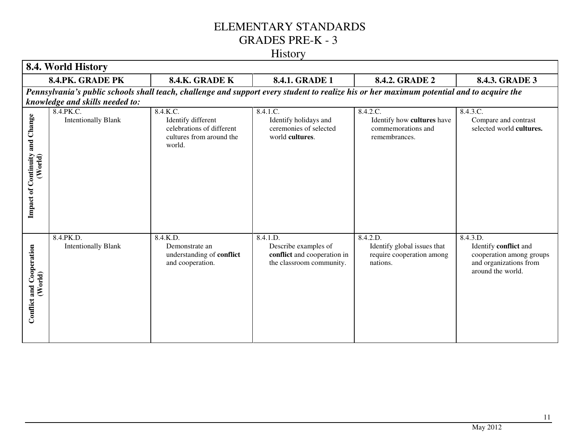#### History

|                                            | 8.4. World History                                    |                                                                                                   |                                                                                             |                                                                                                                                           |                                                                                                              |
|--------------------------------------------|-------------------------------------------------------|---------------------------------------------------------------------------------------------------|---------------------------------------------------------------------------------------------|-------------------------------------------------------------------------------------------------------------------------------------------|--------------------------------------------------------------------------------------------------------------|
|                                            | 8.4.PK. GRADE PK                                      | 8.4.K. GRADE K                                                                                    | 8.4.1. GRADE 1                                                                              | <b>8.4.2. GRADE 2</b>                                                                                                                     | 8.4.3. GRADE 3                                                                                               |
|                                            | knowledge and skills needed to:                       |                                                                                                   |                                                                                             | Pennsylvania's public schools shall teach, challenge and support every student to realize his or her maximum potential and to acquire the |                                                                                                              |
| Impact of Continuity and Change<br>(World) | $8.4.PK.\overline{C}$ .<br><b>Intentionally Blank</b> | 8.4.K.C.<br>Identify different<br>celebrations of different<br>cultures from around the<br>world. | 8.4.1.C.<br>Identify holidays and<br>ceremonies of selected<br>world cultures.              | 8.4.2.C.<br>Identify how cultures have<br>commemorations and<br>remembrances.                                                             | 8.4.3.C.<br>Compare and contrast<br>selected world cultures.                                                 |
| Conflict and Cooperation<br>(World)        | 8.4.PK.D.<br><b>Intentionally Blank</b>               | 8.4.K.D.<br>Demonstrate an<br>understanding of conflict<br>and cooperation.                       | 8.4.1.D.<br>Describe examples of<br>conflict and cooperation in<br>the classroom community. | 8.4.2.D.<br>Identify global issues that<br>require cooperation among<br>nations.                                                          | 8.4.3.D.<br>Identify conflict and<br>cooperation among groups<br>and organizations from<br>around the world. |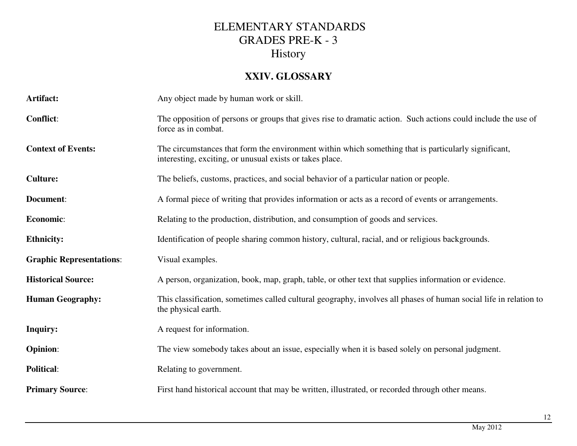#### **XXIV. GLOSSARY**

| Artifact:                       | Any object made by human work or skill.                                                                                                                          |  |
|---------------------------------|------------------------------------------------------------------------------------------------------------------------------------------------------------------|--|
| <b>Conflict:</b>                | The opposition of persons or groups that gives rise to dramatic action. Such actions could include the use of<br>force as in combat.                             |  |
| <b>Context of Events:</b>       | The circumstances that form the environment within which something that is particularly significant,<br>interesting, exciting, or unusual exists or takes place. |  |
| <b>Culture:</b>                 | The beliefs, customs, practices, and social behavior of a particular nation or people.                                                                           |  |
| Document:                       | A formal piece of writing that provides information or acts as a record of events or arrangements.                                                               |  |
| Economic:                       | Relating to the production, distribution, and consumption of goods and services.                                                                                 |  |
| <b>Ethnicity:</b>               | Identification of people sharing common history, cultural, racial, and or religious backgrounds.                                                                 |  |
| <b>Graphic Representations:</b> | Visual examples.                                                                                                                                                 |  |
| <b>Historical Source:</b>       | A person, organization, book, map, graph, table, or other text that supplies information or evidence.                                                            |  |
|                                 |                                                                                                                                                                  |  |
| <b>Human Geography:</b>         | This classification, sometimes called cultural geography, involves all phases of human social life in relation to<br>the physical earth.                         |  |
| <b>Inquiry:</b>                 | A request for information.                                                                                                                                       |  |
| <b>Opinion:</b>                 | The view somebody takes about an issue, especially when it is based solely on personal judgment.                                                                 |  |
| <b>Political:</b>               | Relating to government.                                                                                                                                          |  |